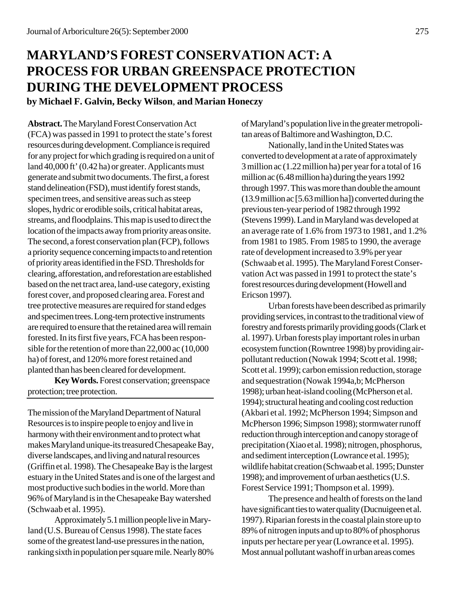# **MARYLAND'S FOREST CONSERVATION ACT: A PROCESS FOR URBAN GREENSPACE PROTECTION DURING THE DEVELOPMENT PROCESS**

**by Michael F. Galvin, Becky Wilson**, **and Marian Honeczy**

**Abstract.** The Maryland Forest Conservation Act (FCA) was passed in 1991 to protect the state's forest resources during development. Compliance is required for any project for which grading is required on a unit of land 40,000 ft' (0.42 ha) or greater. Applicants must generate and submit two documents. The first, a forest stand delineation (FSD), must identify forest stands, specimen trees, and sensitive areas such as steep slopes, hydric or erodible soils, critical habitat areas, streams, and floodplains. This map is used to direct the location of the impacts away from priority areas onsite. The second, a forest conservation plan (FCP), follows a priority sequence concerning impacts to and retention of priority areas identified in the FSD. Thresholds for clearing, afforestation, and reforestation are established based on the net tract area, land-use category, existing forest cover, and proposed clearing area. Forest and tree protective measures are required for stand edges and specimen trees. Long-tern protective instruments are required to ensure that the retained area will remain forested. In its first five years, FCA has been responsible for the retention of more than 22,000 ac (10,000 ha) of forest, and 120% more forest retained and planted than has been cleared for development.

**Key Words.** Forest conservation; greenspace protection; tree protection.

The mission of the Maryland Department of Natural Resources is to inspire people to enjoy and live in harmony with their environment and to protect what makes Maryland unique-its treasured Chesapeake Bay, diverse landscapes, and living and natural resources (Griffin et al. 1998). The Chesapeake Bay is the largest estuary in the United States and is one of the largest and most productive such bodies in the world. More than 96% of Maryland is in the Chesapeake Bay watershed (Schwaab et al. 1995).

Approximately 5.1 million people live in Maryland (U.S. Bureau of Census 1998). The state faces some of the greatest land-use pressures in the nation, ranking sixth in population per square mile. Nearly 80% of Maryland's population live in the greater metropolitan areas of Baltimore and Washington, D.C.

Nationally, land in the United States was converted to development at a rate of approximately 3 million ac (1.22 million ha) per year for a total of 16 million ac (6.48 million ha) during the years 1992 through 1997. This was more than double the amount (13.9 million ac [5.63 million ha]) converted during the previous ten-year period of 1982 through 1992 (Stevens 1999). Land in Maryland was developed at an average rate of 1.6% from 1973 to 1981, and 1.2% from 1981 to 1985. From 1985 to 1990, the average rate of development increased to 3.9% per year (Schwaab et al. 1995). The Maryland Forest Conservation Act was passed in 1991 to protect the state's forest resources during development (Howell and Ericson 1997).

Urban forests have been described as primarily providing services, in contrast to the traditional view of forestry and forests primarily providing goods (Clark et al. 1997). Urban forests play important roles in urban ecosystem function (Rowntree 1998) by providing airpollutant reduction (Nowak 1994; Scott et al. 1998; Scott et al. 1999); carbon emission reduction, storage and sequestration (Nowak 1994a,b; McPherson 1998); urban heat-island cooling (McPherson et al. 1994); structural heating and cooling cost reduction (Akbari et al. 1992; McPherson 1994; Simpson and McPherson 1996; Simpson 1998); stormwater runoff reduction through interception and canopy storage of precipitation (Xiao et al. 1998); nitrogen, phosphorus, and sediment interception (Lowrance et al. 1995); wildlife habitat creation (Schwaab et al. 1995; Dunster 1998); and improvement of urban aesthetics (U.S. Forest Service 1991; Thompson et al. 1999).

The presence and health of forests on the land have significant ties to water quality (Ducnuigeen et al. 1997). Riparian forests in the coastal plain store up to 89% of nitrogen inputs and up to 80% of phosphorus inputs per hectare per year (Lowrance et al. 1995). Most annual pollutant washoff in urban areas comes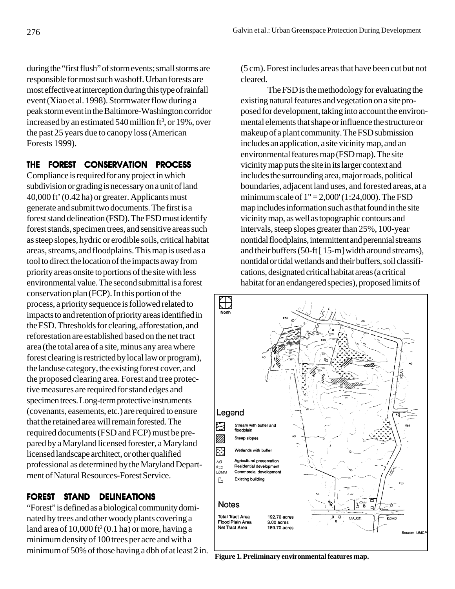during the "first flush" of storm events; small storms are responsible for most such washoff. Urban forests are most effective at interception during this type of rainfall event (Xiao et al. 1998). Stormwater flow during a peak storm event in the Baltimore-Washington corridor increased by an estimated 540 million ft<sup>3</sup>, or 19%, over the past 25 years due to canopy loss (American Forests 1999).

#### **THE FOREST CONSERVATION PROCESS**

Compliance is required for any project in which subdivision or grading is necessary on a unit of land 40,000 ft' (0.42 ha) or greater. Applicants must generate and submit two documents. The first is a forest stand delineation (FSD). The FSD must identify forest stands, specimen trees, and sensitive areas such as steep slopes, hydric or erodible soils, critical habitat areas, streams, and floodplains. This map is used as a tool to direct the location of the impacts away from priority areas onsite to portions of the site with less environmental value. The second submittal is a forest conservation plan (FCP). In this portion of the process, a priority sequence is followed related to impacts to and retention of priority areas identified in the FSD. Thresholds for clearing, afforestation, and reforestation are established based on the net tract area (the total area of a site, minus any area where forest clearing is restricted by local law or program), the landuse category, the existing forest cover, and the proposed clearing area. Forest and tree protective measures are required for stand edges and specimen trees. Long-term protective instruments (covenants, easements, etc.) are required to ensure that the retained area will remain forested. The required documents (FSD and FCP) must be prepared by a Maryland licensed forester, a Maryland licensed landscape architect, or other qualified professional as determined by the Maryland Department of Natural Resources-Forest Service.

### **FOREST STAND DELINEATIONS**

"Forest" is defined as a biological community dominated by trees and other woody plants covering a land area of 10,000 ft<sup>2</sup> (0.1 ha) or more, having a minimum density of 100 trees per acre and with a minimum of 50% of those having a dbh of at least 2 in. (5 cm). Forest includes areas that have been cut but not cleared.

The FSD is the methodology for evaluating the existing natural features and vegetation on a site proposed for development, taking into account the environmental elements that shape or influence the structure or makeup of a plant community. The FSD submission includes an application, a site vicinity map, and an environmental features map (FSD map). The site vicinity map puts the site in its larger context and includes the surrounding area, major roads, political boundaries, adjacent land uses, and forested areas, at a minimum scale of  $1" = 2,000' (1:24,000)$ . The FSD map includes information such as that found in the site vicinity map, as well as topographic contours and intervals, steep slopes greater than 25%, 100-year nontidal floodplains, intermittent and perennial streams and their buffers (50-ft [ 15-m] width around streams), nontidal or tidal wetlands and their buffers, soil classifications, designated critical habitat areas (a critical habitat for an endangered species), proposed limits of



**Figure 1. Preliminary environmental features map.**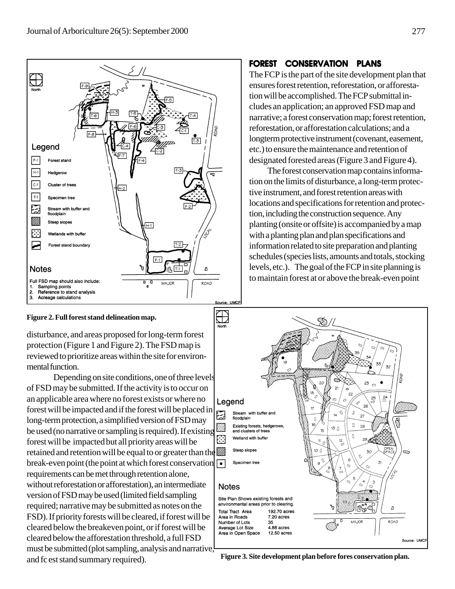

#### **Figure 2. Full forest stand delineation map.**

disturbance, and areas proposed for long-term forest protection (Figure 1 and Figure 2). The FSD map is reviewed to prioritize areas within the site for environmental function.

Depending on site conditions, one of three levels of FSD may be submitted. If the activity is to occur on an applicable area where no forest exists or where no forest will be impacted and if the forest will be placed in long-term protection, a simplified version of FSD may be used (no narrative or sampling is required). If existing forest will be impacted but all priority areas will be retained and retention will be equal to or greater than the break-even point (the point at which forest conservation  $\lceil \bullet \rceil$ requirements can be met through retention alone, without reforestation or afforestation), an intermediate version of FSD may be used (limited field sampling required; narrative may be submitted as notes on the FSD). If priority forests will be cleared, if forest will be cleared below the breakeven point, or if forest will be cleared below the afforestation threshold, a full FSD must be submitted (plot sampling, analysis and narrative, and fc est stand summary required).

## **FOREST CONSERVATION PLANS**

The FCP is the part of the site development plan that ensures forest retention, reforestation, or afforestation will be accomplished. The FCP submittal includes an application; an approved FSD map and narrative; a forest conservation map; forest retention, reforestation, or afforestation calculations; and a longterm protective instrument (covenant, easement, etc.) to ensure the maintenance and retention of designated forested areas (Figure 3 and Figure 4).

The forest conservation map contains information on the limits of disturbance, a long-term protective instrument, and forest retention areas with locations and specifications for retention and protection, including the construction sequence. Any planting (onsite or offsite) is accompanied by a map with a planting plan and plan specifications and information related to site preparation and planting schedules (species lists, amounts and totals, stocking levels, etc.). The goal of the FCP in site planning is to maintain forest at or above the break-even point



**Figure 3. Site development plan before fores conservation plan.**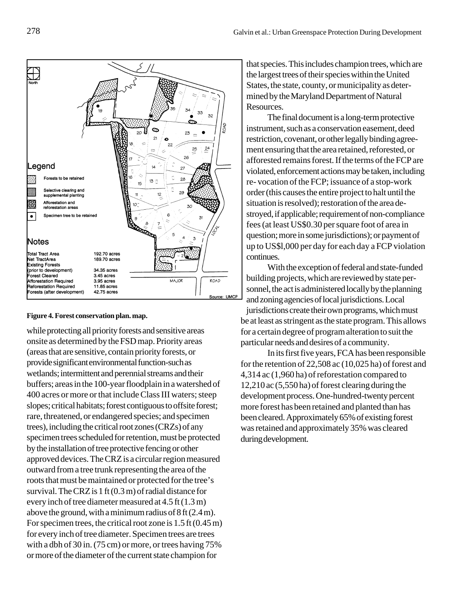

#### **Figure 4. Forest conservation plan. map.**

while protecting all priority forests and sensitive areas onsite as determined by the FSD map. Priority areas (areas that are sensitive, contain priority forests, or provide significant environmental function-such as wetlands; intermittent and perennial streams and their buffers; areas in the 100-year floodplain in a watershed of 400 acres or more or that include Class III waters; steep slopes; critical habitats; forest contiguous to offsite forest; rare, threatened, or endangered species; and specimen trees), including the critical root zones (CRZs) of any specimen trees scheduled for retention, must be protected by the installation of tree protective fencing or other approved devices. The CRZ is a circular region measured outward from a tree trunk representing the area of the roots that must be maintained or protected for the tree's survival. The CRZ is 1 ft (0.3 m) of radial distance for every inch of tree diameter measured at 4.5 ft (1.3 m) above the ground, with a minimum radius of 8 ft (2.4 m). For specimen trees, the critical root zone is 1.5 ft (0.45 m) for every inch of tree diameter. Specimen trees are trees with a dbh of 30 in. (75 cm) or more, or trees having 75% or more of the diameter of the current state champion for

that species. This includes champion trees, which are the largest trees of their species within the United States, the state, county, or municipality as determined by the Maryland Department of Natural Resources.

The final document is a long-term protective instrument, such as a conservation easement, deed restriction, covenant, or other legally binding agreement ensuring that the area retained, reforested, or afforested remains forest. If the terms of the FCP are violated, enforcement actions may be taken, including re- vocation of the FCP; issuance of a stop-work order (this causes the entire project to halt until the situation is resolved); restoration of the area destroyed, if applicable; requirement of non-compliance fees (at least US\$0.30 per square foot of area in question; more in some jurisdictions); or payment of up to US\$l,000 per day for each day a FCP violation continues.

With the exception of federal and state-funded building projects, which are reviewed by state personnel, the act is administered locally by the planning and zoning agencies of local jurisdictions. Local

jurisdictions create their own programs, which must be at least as stringent as the state program. This allows for a certain degree of program alteration to suit the particular needs and desires of a community.

In its first five years, FCA has been responsible for the retention of 22,508 ac (10,025 ha) of forest and 4,314 ac (1,960 ha) of reforestation compared to 12,210 ac (5,550 ha) of forest clearing during the development process. One-hundred-twenty percent more forest has been retained and planted than has been cleared. Approximately 65% of existing forest was retained and approximately 35% was cleared during development.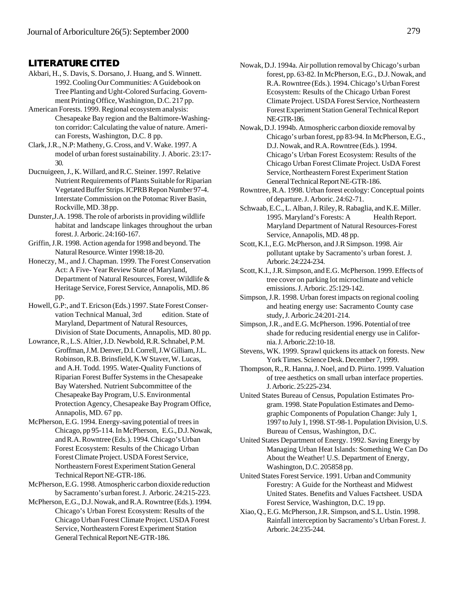#### **LITERATURE CITED**

- Akbari, H., S. Davis, S. Dorsano, J. Huang, and S. Winnett. 1992. Cooling Our Communities: A Guidebook on Tree Planting and Ught-Colored Surfacing. Government Printing Office, Washington, D.C. 217 pp.
- American Forests. 1999. Regional ecosystem analysis: Chesapeake Bay region and the Baltimore-Washington corridor: Calculating the value of nature. American Forests, Washington, D.C. 8 pp.
- Clark, J.R., N.P: Matheny, G. Cross, and V. Wake. 1997. A model of urban forest sustainability. J. Aboric. 23:17- 30.
- Ducnuigeen, J., K. Willard, and R.C. Steiner. 1997. Relative Nutrient Requirements of Plants Suitable for Riparian Vegetated Buffer Strips. ICPRB Repon Number 97-4. Interstate Commission on the Potomac River Basin, Rockville, MD. 38 pp.
- Dunster,J.A. 1998. The role of arborists in providing wildlife habitat and landscape linkages throughout the urban forest. J. Arboric. 24:160-167.
- Griffin, J.R. 1998. Action agenda for 1998 and beyond. The Natural Resource. Winter 1998:18-20.
- Honeczy, M., and J. Chapman. 1999. The Forest Conservation Act: A Five- Year Review State of Maryland, Department of Natural Resources, Forest, Wildlife & Heritage Service, Forest Service, Annapolis, MD. 86 pp.
- Howell, G.P:, and T. Ericson (Eds.) 1997. State Forest Conservation Technical Manual, 3rd edition. State of Maryland, Department of Natural Resources, Division of State Documents, Annapolis, MD. 80 pp.
- Lowrance, R., L.S. AItier, J.D. Newbold, R.R. Schnabel, P.M. Groffman, J.M. Denver, D.I. Correll, J.W Gilliam, J.L. Robinson, R.B. Brinsfield, K.W Staver, W. Lucas, and A.H. Todd. 1995. Water-Quality Functions of Riparian Forest Buffer Systems in the Chesapeake Bay Watershed. Nutrient Subcommittee of the Chesapeake Bay Program, U.S. Environmental Protection Agency, Chesapeake Bay Program Office, Annapolis, MD. 67 pp.
- McPherson, E.G. 1994. Energy-saving potential of trees in Chicago, pp 95-114. In McPherson, E.G., D.J. Nowak, and R.A. Rowntree (Eds.). 1994. Chicago's Urban Forest Ecosystem: Results of the Chicago Urban Forest Climate Project. USDA Forest Service, Northeastern Forest Experiment Station General Technical Report NE-GTR-186.
- McPherson, E.G. 1998. Atmospheric carbon dioxide reduction by Sacramento's urban forest. J. Arboric. 24:215-223.
- McPherson, E.G., D.J. Nowak, and R.A. Rowntree (Eds.). 1994. Chicago's Urban Forest Ecosystem: Results of the Chicago Urban Forest Climate Project. USDA Forest Service, Northeastern Forest Experiment Station General Technical Report NE-GTR-186.
- Nowak, D.J. 1994a. Air pollution removal by Chicago's urban forest, pp. 63-82. In McPherson, E.G., D.J. Nowak, and R.A. Rowntree (Eds.). 1994. Chicago's Urban Forest Ecosystem: Results of the Chicago Urban Forest Climate Project. USDA Forest Service, Northeastern Forest Experiment Station General Technical Report NE-GTR-186.
- Nowak, D.J. 1994b. Atmospheric carbon dioxide removal by Chicago's urban forest, pp 83-94. In McPherson, E.G., D.J. Nowak, and R.A. Rowntree (Eds.). 1994. Chicago's Urban Forest Ecosystem: Results of the Chicago Urban Forest Climate Project. UsDA Forest Service, Northeastern Forest Experiment Station General Technical Report NE-GTR-186.
- Rowntree, R.A. 1998. Urban forest ecology: Conceptual points of departure. J. Arboric. 24:62-71.
- Schwaab, E.C., L. Alban, J. Riley, R. Rabaglia, and K.E. Miller. 1995. Maryland's Forests: A Health Report. Maryland Department of Natural Resources-Forest Service, Annapolis, MD. 48 pp.
- Scott, K.I., E.G. McPherson, and J.R Simpson. 1998. Air pollutant uptake by Sacramento's urban forest. J. Arboric. 24:224-234.
- Scott, K.I., J.R. Simpson, and E.G. McPherson. 1999. Effects of tree cover on parking lot microclimate and vehicle emissions. J. Arboric. 25:129-142.
- Simpson, J.R. 1998. Urban forest impacts on regional cooling and heating energy use: Sacramento County case study, J. Arboric.24:201-214.
- Simpson, J.R., and E.G. McPherson. 1996. Potential of tree shade for reducing residential energy use in California. J. Arboric.22:10-18.
- Stevens, WK. 1999. Sprawl quickens its attack on forests. New York Times. Science Desk. December 7, 1999.
- Thompson, R., R. Hanna, J. Noel, and D. Piirto. 1999. Valuation of tree aesthetics on small urban interface properties. J. Arboric. 25:225-234.
- United States Bureau of Census, Population Estimates Program. 1998. State Population Estimates and Demographic Components of Population Change: July 1, 1997 to July 1, 1998. ST-98-1. Population Division, U.S. Bureau of Census, Washington, D.C.
- United States Department of Energy. 1992. Saving Energy by Managing Urban Heat Islands: Something We Can Do About the Weather! U.S. Department of Energy, Washington, D.C. 205858 pp.
- United States Forest Service. 1991. Urban and Community Forestry: A Guide for the Northeast and Midwest United States. Benefits and Values Factsheet. USDA Forest Service, Washington, D.C. 19 pp.
- Xiao, Q., E.G. McPherson, J.R. Simpson, and S.L. Ustin. 1998. Rainfall interception by Sacramento's Urban Forest. J. Arboric. 24:235-244.